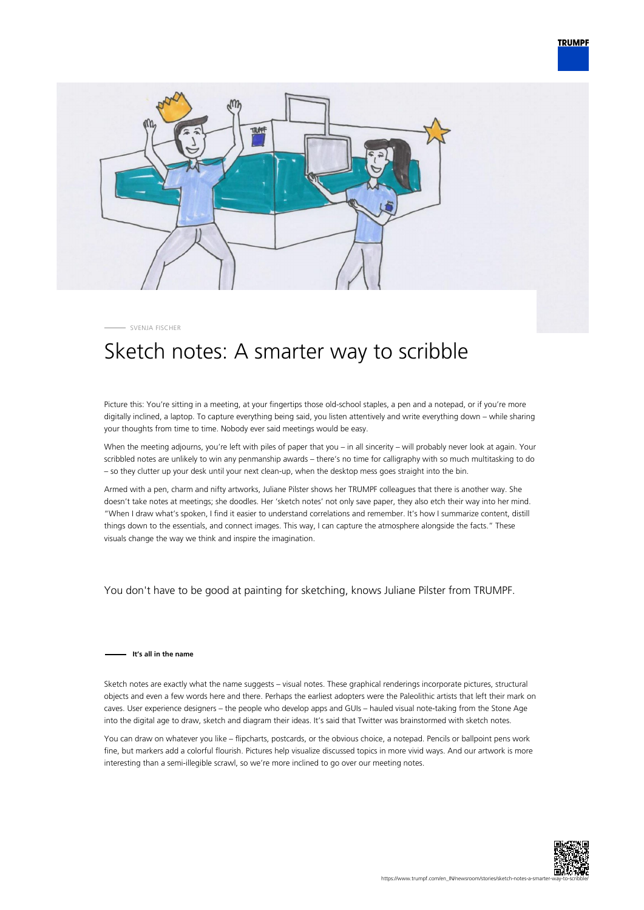



SVENJA FISCHER

## Sketch notes: A smarter way to scribble

Picture this: You're sitting in a meeting, at your fingertips those old-school staples, a pen and a notepad, or if you're more digitally inclined, a laptop. To capture everything being said, you listen attentively and write everything down – while sharing your thoughts from time to time. Nobody ever said meetings would be easy.

When the meeting adjourns, you're left with piles of paper that you – in all sincerity – will probably never look at again. Your scribbled notes are unlikely to win any penmanship awards – there's no time for calligraphy with so much multitasking to do – so they clutter up your desk until your next clean-up, when the desktop mess goes straight into the bin.

Armed with a pen, charm and nifty artworks, Juliane Pilster shows her TRUMPF colleagues that there is another way. She doesn't take notes at meetings; she doodles. Her 'sketch notes' not only save paper, they also etch their way into her mind. "When I draw what's spoken, I find it easier to understand correlations and remember. It's how I summarize content, distill things down to the essentials, and connect images. This way, I can capture the atmosphere alongside the facts." These visuals change the way we think and inspire the imagination.

You don't have to be good at painting for sketching, knows Juliane Pilster from TRUMPF.

## **It's all in the name**

Sketch notes are exactly what the name suggests – visual notes. These graphical renderings incorporate pictures, structural objects and even a few words here and there. Perhaps the earliest adopters were the Paleolithic artists that left their mark on caves. User experience designers – the people who develop apps and GUIs – hauled visual note-taking from the Stone Age into the digital age to draw, sketch and diagram their ideas. It's said that Twitter was brainstormed with sketch notes.

You can draw on whatever you like – flipcharts, postcards, or the obvious choice, a notepad. Pencils or ballpoint pens work fine, but markers add a colorful flourish. Pictures help visualize discussed topics in more vivid ways. And our artwork is more interesting than a semi-illegible scrawl, so we're more inclined to go over our meeting notes.